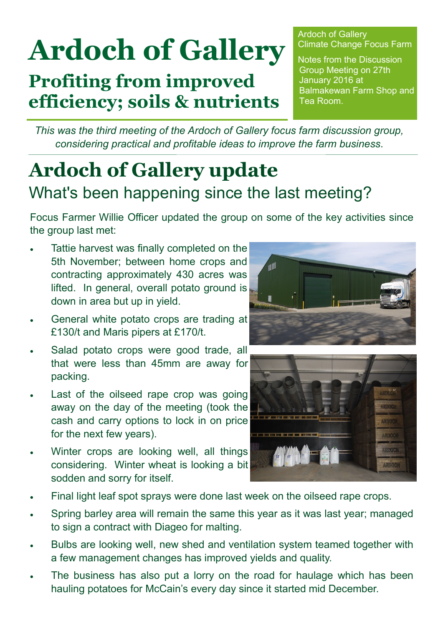# **Ardoch of Gallery**

**Profiting from improved efficiency; soils & nutrients** Ardoch of Gallery Climate Change Focus Farm

Notes from the Discussion Group Meeting on 27th January 2016 at Balmakewan Farm Shop and Tea Room.

*This was the third meeting of the Ardoch of Gallery focus farm discussion group, considering practical and profitable ideas to improve the farm business.* 

## **Ardoch of Gallery update** What's been happening since the last meeting?

Focus Farmer Willie Officer updated the group on some of the key activities since the group last met:

- Tattie harvest was finally completed on the 5th November; between home crops and contracting approximately 430 acres was lifted. In general, overall potato ground is down in area but up in yield.
- General white potato crops are trading at £130/t and Maris pipers at £170/t.
- Salad potato crops were good trade, all that were less than 45mm are away for packing.
- Last of the oilseed rape crop was going away on the day of the meeting (took the cash and carry options to lock in on price for the next few years).
- Winter crops are looking well, all things considering. Winter wheat is looking a bit sodden and sorry for itself.





- Final light leaf spot sprays were done last week on the oilseed rape crops.
- Spring barley area will remain the same this year as it was last year; managed to sign a contract with Diageo for malting.
- Bulbs are looking well, new shed and ventilation system teamed together with a few management changes has improved yields and quality.
- The business has also put a lorry on the road for haulage which has been hauling potatoes for McCain's every day since it started mid December.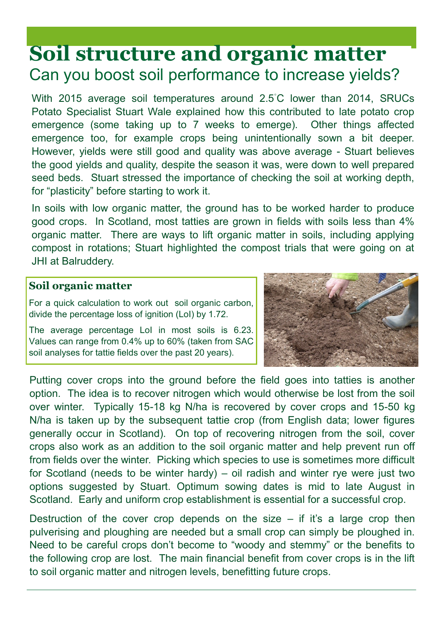### **Soil structure and organic matter** Can you boost soil performance to increase yields?

With 2015 average soil temperatures around 2.5℃ lower than 2014, SRUCs Potato Specialist Stuart Wale explained how this contributed to late potato crop emergence (some taking up to 7 weeks to emerge). Other things affected emergence too, for example crops being unintentionally sown a bit deeper. However, yields were still good and quality was above average - Stuart believes the good yields and quality, despite the season it was, were down to well prepared seed beds. Stuart stressed the importance of checking the soil at working depth, for "plasticity" before starting to work it.

In soils with low organic matter, the ground has to be worked harder to produce good crops. In Scotland, most tatties are grown in fields with soils less than 4% organic matter. There are ways to lift organic matter in soils, including applying compost in rotations; Stuart highlighted the compost trials that were going on at JHI at Balruddery.

#### **Soil organic matter**

For a quick calculation to work out soil organic carbon, divide the percentage loss of ignition (LoI) by 1.72.

The average percentage LoI in most soils is 6.23. Values can range from 0.4% up to 60% (taken from SAC soil analyses for tattie fields over the past 20 years).



Putting cover crops into the ground before the field goes into tatties is another option. The idea is to recover nitrogen which would otherwise be lost from the soil over winter. Typically 15-18 kg N/ha is recovered by cover crops and 15-50 kg N/ha is taken up by the subsequent tattie crop (from English data; lower figures generally occur in Scotland). On top of recovering nitrogen from the soil, cover crops also work as an addition to the soil organic matter and help prevent run off from fields over the winter. Picking which species to use is sometimes more difficult for Scotland (needs to be winter hardy) – oil radish and winter rye were just two options suggested by Stuart. Optimum sowing dates is mid to late August in Scotland. Early and uniform crop establishment is essential for a successful crop.

Destruction of the cover crop depends on the size  $-$  if it's a large crop then pulverising and ploughing are needed but a small crop can simply be ploughed in. Need to be careful crops don't become to "woody and stemmy" or the benefits to the following crop are lost. The main financial benefit from cover crops is in the lift to soil organic matter and nitrogen levels, benefitting future crops.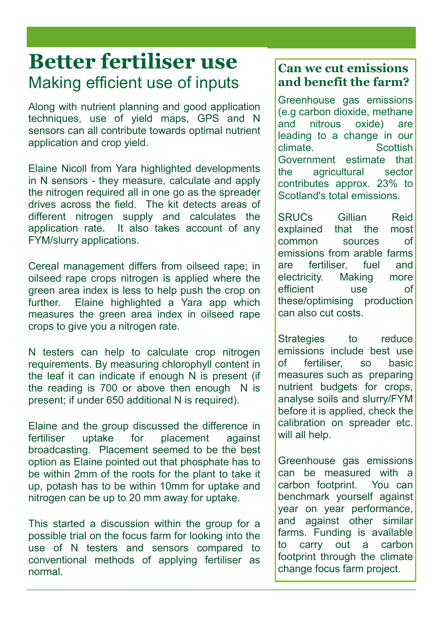### **Better fertiliser use** Making efficient use of inputs

Along with nutrient planning and good application techniques, use of yield maps, GPS and N sensors can all contribute towards optimal nutrient application and crop yield.

Elaine Nicoll from Yara highlighted developments in N sensors - they measure, calculate and apply the nitrogen required all in one go as the spreader drives across the field. The kit detects areas of different nitrogen supply and calculates the application rate. It also takes account of any FYM/slurry applications.

Cereal management differs from oilseed rape; in oilseed rape crops nitrogen is applied where the green area index is less to help push the crop on further. Elaine highlighted a Yara app which measures the green area index in oilseed rape crops to give you a nitrogen rate.

N testers can help to calculate crop nitrogen requirements. By measuring chlorophyll content in the leaf it can indicate if enough N is present (if the reading is 700 or above then enough N is present; if under 650 additional N is required).

Elaine and the group discussed the difference in fertiliser uptake for placement against broadcasting. Placement seemed to be the best option as Elaine pointed out that phosphate has to be within 2mm of the roots for the plant to take it up, potash has to be within 10mm for uptake and nitrogen can be up to 20 mm away for uptake.

This started a discussion within the group for a possible trial on the focus farm for looking into the use of N testers and sensors compared to conventional methods of applying fertiliser as normal.

#### **Can we cut emissions and benefit the farm?**

Greenhouse gas emissions (e.g carbon dioxide, methane and nitrous oxide) are leading to a change in our climate. Scottish Government estimate that the agricultural sector contributes approx. 23% to Scotland's total emissions.

SRUCs Gillian Reid explained that the most common sources of emissions from arable farms are fertiliser, fuel and electricity. Making more efficient use of these/optimising production can also cut costs.

Strategies to reduce emissions include best use of fertiliser so basic measures such as preparing nutrient budgets for crops, analyse soils and slurry/FYM before it is applied, check the calibration on spreader etc. will all help.

Greenhouse gas emissions can be measured with a carbon footprint. You can benchmark yourself against year on year performance, and against other similar farms. Funding is available to carry out a carbon footprint through the climate change focus farm project.